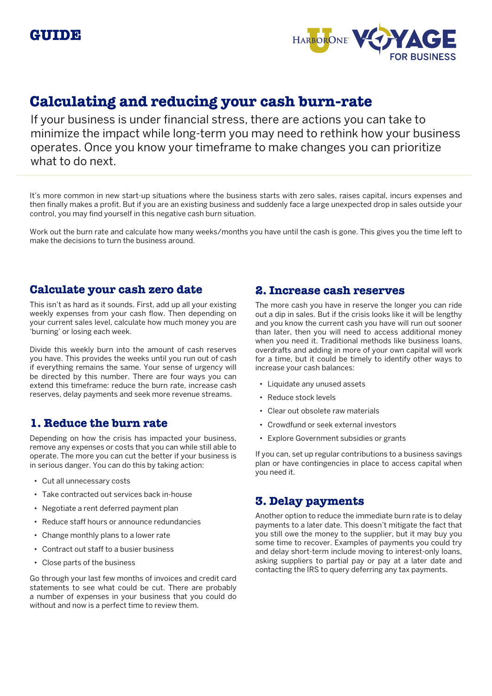

# **Calculating and reducing your cash burn-rate**

If your business is under financial stress, there are actions you can take to minimize the impact while long-term you may need to rethink how your business operates. Once you know your timeframe to make changes you can prioritize what to do next.

It's more common in new start-up situations where the business starts with zero sales, raises capital, incurs expenses and then finally makes a profit. But if you are an existing business and suddenly face a large unexpected drop in sales outside your control, you may find yourself in this negative cash burn situation.

Work out the burn rate and calculate how many weeks/months you have until the cash is gone. This gives you the time left to make the decisions to turn the business around.

## **Calculate your cash zero date**

This isn't as hard as it sounds. First, add up all your existing weekly expenses from your cash flow. Then depending on your current sales level, calculate how much money you are 'burning' or losing each week.

Divide this weekly burn into the amount of cash reserves you have. This provides the weeks until you run out of cash if everything remains the same. Your sense of urgency will be directed by this number. There are four ways you can extend this timeframe: reduce the burn rate, increase cash reserves, delay payments and seek more revenue streams.

# **1. Reduce the burn rate**

Depending on how the crisis has impacted your business, remove any expenses or costs that you can while still able to operate. The more you can cut the better if your business is in serious danger. You can do this by taking action:

- Cut all unnecessary costs
- Take contracted out services back in-house
- Negotiate a rent deferred payment plan
- Reduce staff hours or announce redundancies
- Change monthly plans to a lower rate
- Contract out staff to a busier business
- Close parts of the business

Go through your last few months of invoices and credit card statements to see what could be cut. There are probably a number of expenses in your business that you could do without and now is a perfect time to review them.

### **2. Increase cash reserves**

The more cash you have in reserve the longer you can ride out a dip in sales. But if the crisis looks like it will be lengthy and you know the current cash you have will run out sooner than later, then you will need to access additional money when you need it. Traditional methods like business loans, overdrafts and adding in more of your own capital will work for a time, but it could be timely to identify other ways to increase your cash balances:

- Liquidate any unused assets
- Reduce stock levels
- Clear out obsolete raw materials
- Crowdfund or seek external investors
- Explore Government subsidies or grants

If you can, set up regular contributions to a business savings plan or have contingencies in place to access capital when you need it.

#### **3. Delay payments**

Another option to reduce the immediate burn rate is to delay payments to a later date. This doesn't mitigate the fact that you still owe the money to the supplier, but it may buy you some time to recover. Examples of payments you could try and delay short-term include moving to interest-only loans, asking suppliers to partial pay or pay at a later date and contacting the IRS to query deferring any tax payments.